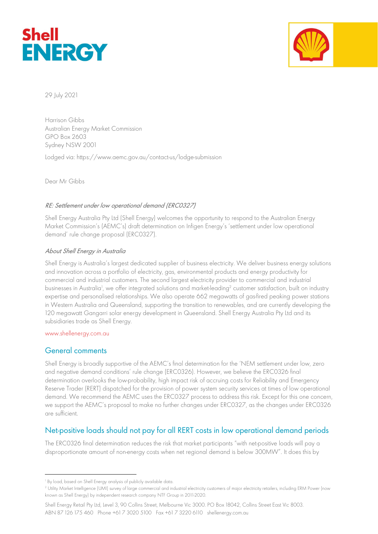



29 July 2021

Harrison Gibbs Australian Energy Market Commission GPO Box 2603 Sydney NSW 2001

Lodged via: https://www.aemc.gov.au/contact-us/lodge-submission

Dear Mr Gibbs

### RE: Settlement under low operational demand (ERC0327)

Shell Energy Australia Pty Ltd (Shell Energy) welcomes the opportunity to respond to the Australian Energy Market Commission's (AEMC's) draft determination on Infigen Energy's 'settlement under low operational demand' rule change proposal (ERC0327).

### About Shell Energy in Australia

Shell Energy is Australia's largest dedicated supplier of business electricity. We deliver business energy solutions and innovation across a portfolio of electricity, gas, environmental products and energy productivity for commercial and industrial customers. The second largest electricity provider to commercial and industrial businesses in Australia<sup>1</sup>, we offer integrated solutions and market-leading<sup>2</sup> customer satisfaction, built on industry expertise and personalised relationships. We also operate 662 megawatts of gas-fired peaking power stations in Western Australia and Queensland, supporting the transition to renewables, and are currently developing the 120 megawatt Gangarri solar energy development in Queensland. Shell Energy Australia Pty Ltd and its subsidiaries trade as Shell Energy.

### www.shellenergy.com.au

# General comments

Shell Energy is broadly supportive of the AEMC's final determination for the 'NEM settlement under low, zero and negative demand conditions' rule change (ERC0326). However, we believe the ERC0326 final determination overlooks the low-probability, high impact risk of accruing costs for Reliability and Emergency Reserve Trader (RERT) dispatched for the provision of power system security services at times of low operational demand. We recommend the AEMC uses the ERC0327 process to address this risk. Except for this one concern, we support the AEMC's proposal to make no further changes under ERC0327, as the changes under ERC0326 are sufficient.

# Net-positive loads should not pay for all RERT costs in low operational demand periods

The ERC0326 final determination reduces the risk that market participants "with net-positive loads will pay a disproportionate amount of non-energy costs when net regional demand is below 300MW". It does this by

<sup>1</sup> By load, based on Shell Energy analysis of publicly available data.

<sup>2</sup> Utility Market Intelligence (UMI) survey of large commercial and industrial electricity customers of major electricity retailers, including ERM Power (now known as Shell Energy) by independent research company NTF Group in 2011-2020.

Shell Energy Retail Pty Ltd, Level 3, 90 Collins Street, Melbourne Vic 3000. PO Box 18042, Collins Street East Vic 8003. ABN 87 126 175 460 Phone +61 7 3020 5100 Fax +61 7 3220 6110 shellenergy.com.au